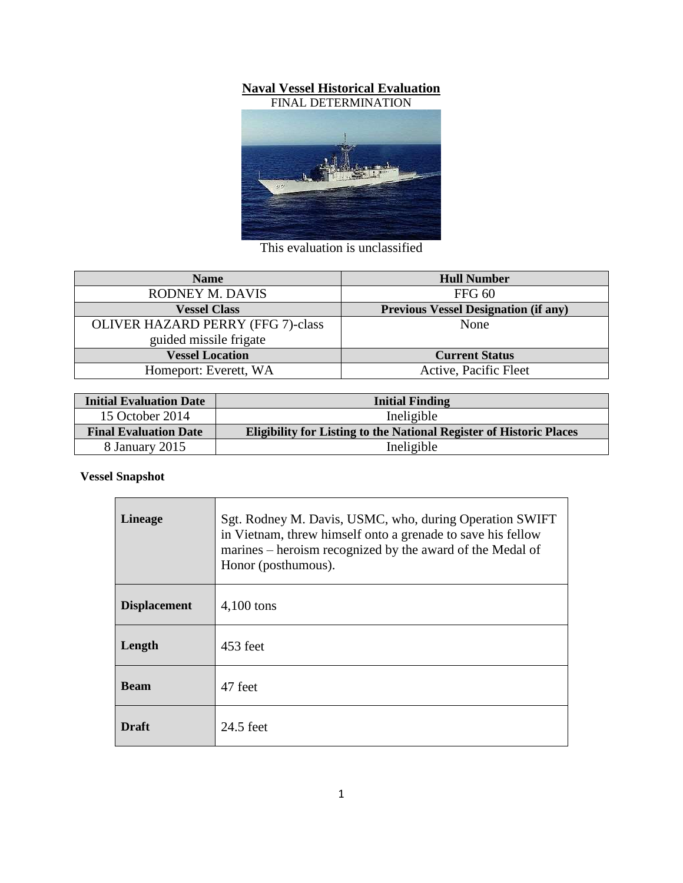## **Naval Vessel Historical Evaluation**



This evaluation is unclassified

| <b>Name</b>                              | <b>Hull Number</b>                          |
|------------------------------------------|---------------------------------------------|
| RODNEY M. DAVIS                          | FFG 60                                      |
| <b>Vessel Class</b>                      | <b>Previous Vessel Designation (if any)</b> |
| <b>OLIVER HAZARD PERRY (FFG 7)-class</b> | None                                        |
| guided missile frigate                   |                                             |
| <b>Vessel Location</b>                   | <b>Current Status</b>                       |
| Homeport: Everett, WA                    | Active, Pacific Fleet                       |

| <b>Initial Evaluation Date</b> | <b>Initial Finding</b>                                                     |
|--------------------------------|----------------------------------------------------------------------------|
| 15 October 2014                | Ineligible                                                                 |
| <b>Final Evaluation Date</b>   | <b>Eligibility for Listing to the National Register of Historic Places</b> |
| 8 January 2015                 | Ineligible                                                                 |

## **Vessel Snapshot**

| <b>Lineage</b>      | Sgt. Rodney M. Davis, USMC, who, during Operation SWIFT<br>in Vietnam, threw himself onto a grenade to save his fellow<br>marines – heroism recognized by the award of the Medal of<br>Honor (posthumous). |
|---------------------|------------------------------------------------------------------------------------------------------------------------------------------------------------------------------------------------------------|
| <b>Displacement</b> | $4,100$ tons                                                                                                                                                                                               |
| Length              | 453 feet                                                                                                                                                                                                   |
| <b>Beam</b>         | 47 feet                                                                                                                                                                                                    |
| <b>Draft</b>        | 24.5 feet                                                                                                                                                                                                  |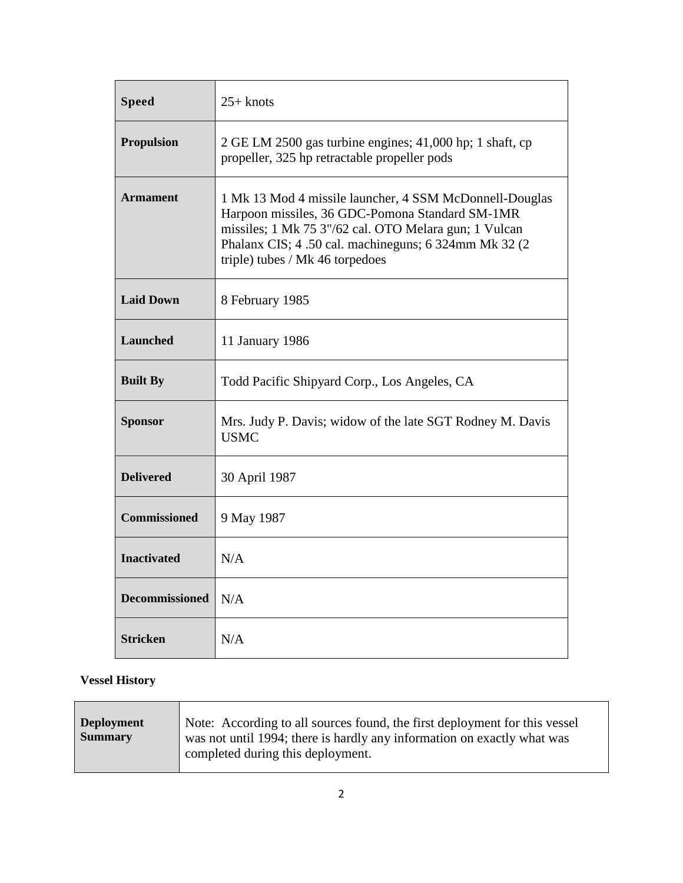| <b>Speed</b>          | $25+$ knots                                                                                                                                                                                                                                                     |
|-----------------------|-----------------------------------------------------------------------------------------------------------------------------------------------------------------------------------------------------------------------------------------------------------------|
| <b>Propulsion</b>     | 2 GE LM 2500 gas turbine engines; 41,000 hp; 1 shaft, cp<br>propeller, 325 hp retractable propeller pods                                                                                                                                                        |
| <b>Armament</b>       | 1 Mk 13 Mod 4 missile launcher, 4 SSM McDonnell-Douglas<br>Harpoon missiles, 36 GDC-Pomona Standard SM-1MR<br>missiles; 1 Mk 75 3"/62 cal. OTO Melara gun; 1 Vulcan<br>Phalanx CIS; 4.50 cal. machineguns; 6.324mm Mk 32 (2.<br>triple) tubes / Mk 46 torpedoes |
| <b>Laid Down</b>      | 8 February 1985                                                                                                                                                                                                                                                 |
| <b>Launched</b>       | 11 January 1986                                                                                                                                                                                                                                                 |
| <b>Built By</b>       | Todd Pacific Shipyard Corp., Los Angeles, CA                                                                                                                                                                                                                    |
| <b>Sponsor</b>        | Mrs. Judy P. Davis; widow of the late SGT Rodney M. Davis<br><b>USMC</b>                                                                                                                                                                                        |
| <b>Delivered</b>      | 30 April 1987                                                                                                                                                                                                                                                   |
| <b>Commissioned</b>   | 9 May 1987                                                                                                                                                                                                                                                      |
| <b>Inactivated</b>    | N/A                                                                                                                                                                                                                                                             |
| <b>Decommissioned</b> | N/A                                                                                                                                                                                                                                                             |
| <b>Stricken</b>       | N/A                                                                                                                                                                                                                                                             |

# **Vessel History**

| <b>Deployment</b><br><b>Summary</b> | Note: According to all sources found, the first deployment for this vessel<br>was not until 1994; there is hardly any information on exactly what was<br>completed during this deployment. |
|-------------------------------------|--------------------------------------------------------------------------------------------------------------------------------------------------------------------------------------------|
|-------------------------------------|--------------------------------------------------------------------------------------------------------------------------------------------------------------------------------------------|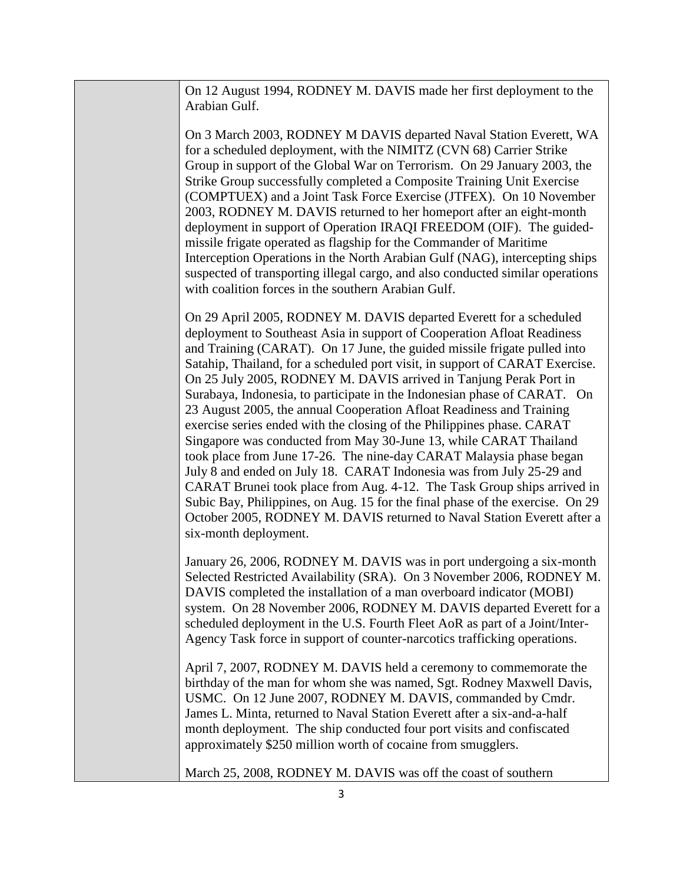On 12 August 1994, RODNEY M. DAVIS made her first deployment to the Arabian Gulf.

On 3 March 2003, RODNEY M DAVIS departed Naval Station Everett, WA for a scheduled deployment, with the NIMITZ (CVN 68) Carrier Strike Group in support of the Global War on Terrorism. On 29 January 2003, the Strike Group successfully completed a Composite Training Unit Exercise (COMPTUEX) and a Joint Task Force Exercise (JTFEX). On 10 November 2003, RODNEY M. DAVIS returned to her homeport after an eight-month deployment in support of Operation IRAQI FREEDOM (OIF). The guidedmissile frigate operated as flagship for the Commander of Maritime Interception Operations in the North Arabian Gulf (NAG), intercepting ships suspected of transporting illegal cargo, and also conducted similar operations with coalition forces in the southern Arabian Gulf.

On 29 April 2005, RODNEY M. DAVIS departed Everett for a scheduled deployment to Southeast Asia in support of Cooperation Afloat Readiness and Training (CARAT). On 17 June, the guided missile frigate pulled into Satahip, Thailand, for a scheduled port visit, in support of CARAT Exercise. On 25 July 2005, RODNEY M. DAVIS arrived in Tanjung Perak Port in Surabaya, Indonesia, to participate in the Indonesian phase of CARAT. On 23 August 2005, the annual Cooperation Afloat Readiness and Training exercise series ended with the closing of the Philippines phase. CARAT Singapore was conducted from May 30-June 13, while CARAT Thailand took place from June 17-26. The nine-day CARAT Malaysia phase began July 8 and ended on July 18. CARAT Indonesia was from July 25-29 and CARAT Brunei took place from Aug. 4-12. The Task Group ships arrived in Subic Bay, Philippines, on Aug. 15 for the final phase of the exercise. On 29 October 2005, RODNEY M. DAVIS returned to Naval Station Everett after a six-month deployment.

January 26, 2006, RODNEY M. DAVIS was in port undergoing a six-month Selected Restricted Availability (SRA). On 3 November 2006, RODNEY M. DAVIS completed the installation of a man overboard indicator (MOBI) system. On 28 November 2006, RODNEY M. DAVIS departed Everett for a scheduled deployment in the U.S. Fourth Fleet AoR as part of a Joint/Inter-Agency Task force in support of counter-narcotics trafficking operations.

April 7, 2007, RODNEY M. DAVIS held a ceremony to commemorate the birthday of the man for whom she was named, Sgt. Rodney Maxwell Davis, USMC. On 12 June 2007, RODNEY M. DAVIS, commanded by Cmdr. James L. Minta, returned to Naval Station Everett after a six-and-a-half month deployment. The ship conducted four port visits and confiscated approximately \$250 million worth of cocaine from smugglers.

March 25, 2008, RODNEY M. DAVIS was off the coast of southern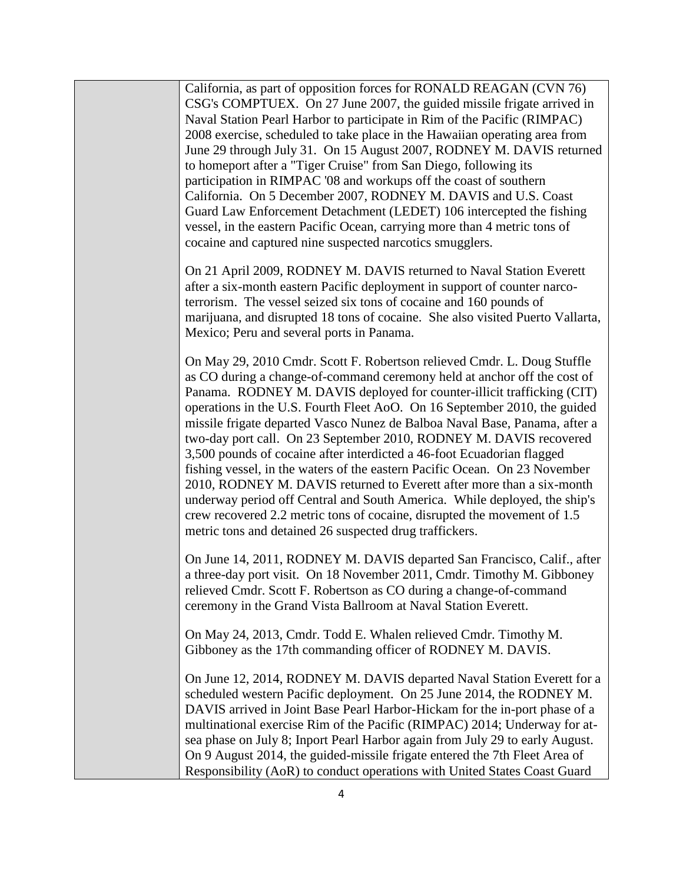California, as part of opposition forces for RONALD REAGAN (CVN 76) CSG's COMPTUEX. On 27 June 2007, the guided missile frigate arrived in Naval Station Pearl Harbor to participate in Rim of the Pacific (RIMPAC) 2008 exercise, scheduled to take place in the Hawaiian operating area from June 29 through July 31. On 15 August 2007, RODNEY M. DAVIS returned to homeport after a "Tiger Cruise" from San Diego, following its participation in RIMPAC '08 and workups off the coast of southern California. On 5 December 2007, RODNEY M. DAVIS and U.S. Coast Guard Law Enforcement Detachment (LEDET) 106 intercepted the fishing vessel, in the eastern Pacific Ocean, carrying more than 4 metric tons of cocaine and captured nine suspected narcotics smugglers.

On 21 April 2009, RODNEY M. DAVIS returned to Naval Station Everett after a six-month eastern Pacific deployment in support of counter narcoterrorism. The vessel seized six tons of cocaine and 160 pounds of marijuana, and disrupted 18 tons of cocaine. She also visited Puerto Vallarta, Mexico; Peru and several ports in Panama.

On May 29, 2010 Cmdr. Scott F. Robertson relieved Cmdr. L. Doug Stuffle as CO during a change-of-command ceremony held at anchor off the cost of Panama. RODNEY M. DAVIS deployed for counter-illicit trafficking (CIT) operations in the U.S. Fourth Fleet AoO. On 16 September 2010, the guided missile frigate departed Vasco Nunez de Balboa Naval Base, Panama, after a two-day port call. On 23 September 2010, RODNEY M. DAVIS recovered 3,500 pounds of cocaine after interdicted a 46-foot Ecuadorian flagged fishing vessel, in the waters of the eastern Pacific Ocean. On 23 November 2010, RODNEY M. DAVIS returned to Everett after more than a six-month underway period off Central and South America. While deployed, the ship's crew recovered 2.2 metric tons of cocaine, disrupted the movement of 1.5 metric tons and detained 26 suspected drug traffickers.

On June 14, 2011, RODNEY M. DAVIS departed San Francisco, Calif., after a three-day port visit. On 18 November 2011, Cmdr. Timothy M. Gibboney relieved Cmdr. Scott F. Robertson as CO during a change-of-command ceremony in the Grand Vista Ballroom at Naval Station Everett.

On May 24, 2013, Cmdr. Todd E. Whalen relieved Cmdr. Timothy M. Gibboney as the 17th commanding officer of RODNEY M. DAVIS.

On June 12, 2014, RODNEY M. DAVIS departed Naval Station Everett for a scheduled western Pacific deployment. On 25 June 2014, the RODNEY M. DAVIS arrived in Joint Base Pearl Harbor-Hickam for the in-port phase of a multinational exercise Rim of the Pacific (RIMPAC) 2014; Underway for atsea phase on July 8; Inport Pearl Harbor again from July 29 to early August. On 9 August 2014, the guided-missile frigate entered the 7th Fleet Area of Responsibility (AoR) to conduct operations with United States Coast Guard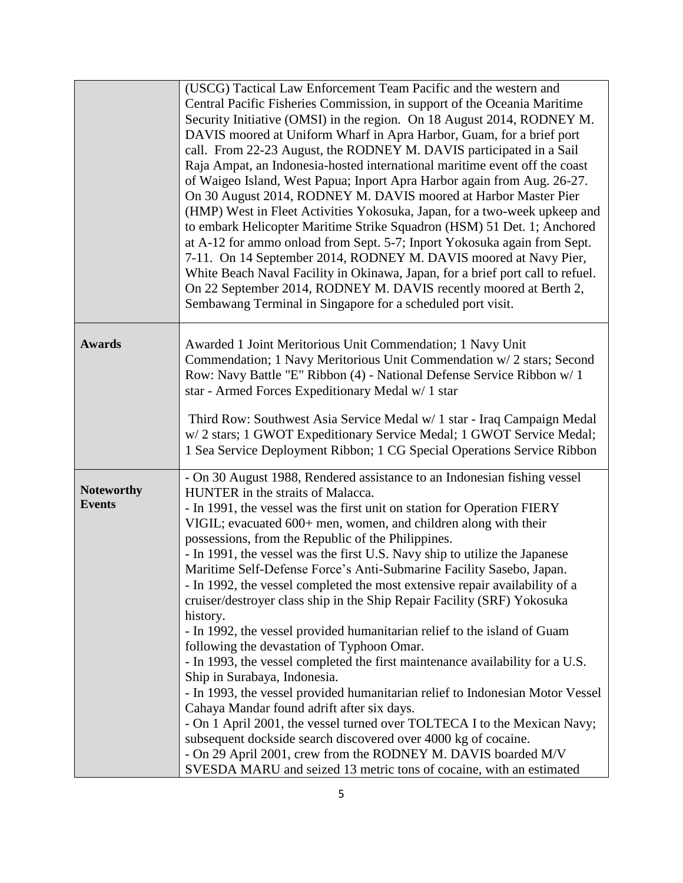|                                    | (USCG) Tactical Law Enforcement Team Pacific and the western and<br>Central Pacific Fisheries Commission, in support of the Oceania Maritime<br>Security Initiative (OMSI) in the region. On 18 August 2014, RODNEY M.<br>DAVIS moored at Uniform Wharf in Apra Harbor, Guam, for a brief port<br>call. From 22-23 August, the RODNEY M. DAVIS participated in a Sail<br>Raja Ampat, an Indonesia-hosted international maritime event off the coast<br>of Waigeo Island, West Papua; Inport Apra Harbor again from Aug. 26-27.<br>On 30 August 2014, RODNEY M. DAVIS moored at Harbor Master Pier<br>(HMP) West in Fleet Activities Yokosuka, Japan, for a two-week upkeep and<br>to embark Helicopter Maritime Strike Squadron (HSM) 51 Det. 1; Anchored                                                                                                                                                                                                                                                                                                                                                                                                                                                                                                                                                     |
|------------------------------------|---------------------------------------------------------------------------------------------------------------------------------------------------------------------------------------------------------------------------------------------------------------------------------------------------------------------------------------------------------------------------------------------------------------------------------------------------------------------------------------------------------------------------------------------------------------------------------------------------------------------------------------------------------------------------------------------------------------------------------------------------------------------------------------------------------------------------------------------------------------------------------------------------------------------------------------------------------------------------------------------------------------------------------------------------------------------------------------------------------------------------------------------------------------------------------------------------------------------------------------------------------------------------------------------------------------|
|                                    | at A-12 for ammo onload from Sept. 5-7; Inport Yokosuka again from Sept.<br>7-11. On 14 September 2014, RODNEY M. DAVIS moored at Navy Pier,<br>White Beach Naval Facility in Okinawa, Japan, for a brief port call to refuel.<br>On 22 September 2014, RODNEY M. DAVIS recently moored at Berth 2,<br>Sembawang Terminal in Singapore for a scheduled port visit.                                                                                                                                                                                                                                                                                                                                                                                                                                                                                                                                                                                                                                                                                                                                                                                                                                                                                                                                            |
| <b>Awards</b>                      | Awarded 1 Joint Meritorious Unit Commendation; 1 Navy Unit<br>Commendation; 1 Navy Meritorious Unit Commendation w/2 stars; Second<br>Row: Navy Battle "E" Ribbon (4) - National Defense Service Ribbon w/ 1<br>star - Armed Forces Expeditionary Medal w/ 1 star<br>Third Row: Southwest Asia Service Medal w/ 1 star - Iraq Campaign Medal<br>w/2 stars; 1 GWOT Expeditionary Service Medal; 1 GWOT Service Medal;<br>1 Sea Service Deployment Ribbon; 1 CG Special Operations Service Ribbon                                                                                                                                                                                                                                                                                                                                                                                                                                                                                                                                                                                                                                                                                                                                                                                                               |
| <b>Noteworthy</b><br><b>Events</b> | - On 30 August 1988, Rendered assistance to an Indonesian fishing vessel<br>HUNTER in the straits of Malacca.<br>- In 1991, the vessel was the first unit on station for Operation FIERY<br>VIGIL; evacuated 600+ men, women, and children along with their<br>possessions, from the Republic of the Philippines.<br>- In 1991, the vessel was the first U.S. Navy ship to utilize the Japanese<br>Maritime Self-Defense Force's Anti-Submarine Facility Sasebo, Japan.<br>- In 1992, the vessel completed the most extensive repair availability of a<br>cruiser/destroyer class ship in the Ship Repair Facility (SRF) Yokosuka<br>history.<br>- In 1992, the vessel provided humanitarian relief to the island of Guam<br>following the devastation of Typhoon Omar.<br>- In 1993, the vessel completed the first maintenance availability for a U.S.<br>Ship in Surabaya, Indonesia.<br>- In 1993, the vessel provided humanitarian relief to Indonesian Motor Vessel<br>Cahaya Mandar found adrift after six days.<br>- On 1 April 2001, the vessel turned over TOLTECA I to the Mexican Navy;<br>subsequent dockside search discovered over 4000 kg of cocaine.<br>- On 29 April 2001, crew from the RODNEY M. DAVIS boarded M/V<br>SVESDA MARU and seized 13 metric tons of cocaine, with an estimated |